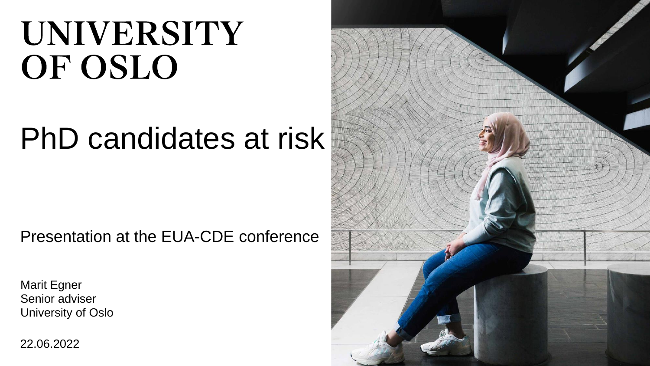# UNIVERSITY OF OSLO

## PhD candidates at risk

Presentation at the EUA-CDE conference

Marit Egner Senior adviser University of Oslo

22.06.2022

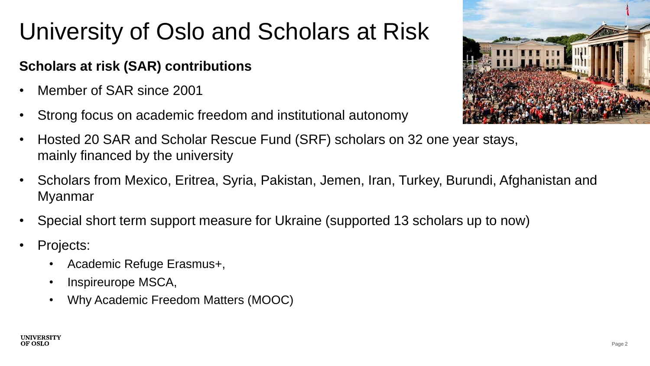### University of Oslo and Scholars at Risk

#### **Scholars at risk (SAR) contributions**

- Member of SAR since 2001
- Strong focus on academic freedom and institutional autonomy



- Hosted 20 SAR and Scholar Rescue Fund (SRF) scholars on 32 one year stays, mainly financed by the university
- Scholars from Mexico, Eritrea, Syria, Pakistan, Jemen, Iran, Turkey, Burundi, Afghanistan and Myanmar
- Special short term support measure for Ukraine (supported 13 scholars up to now)
- Projects:
	- Academic Refuge Erasmus+,
	- Inspireurope MSCA,
	- Why Academic Freedom Matters (MOOC)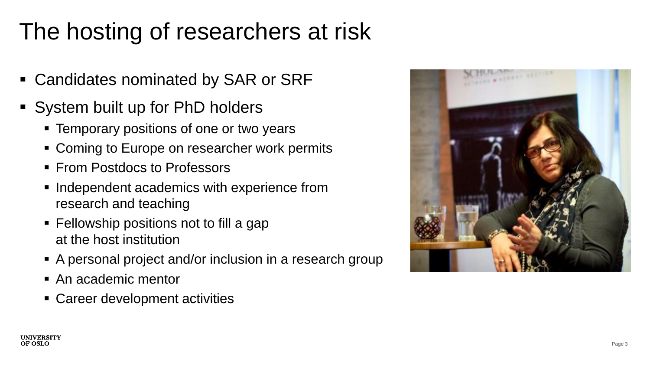### The hosting of researchers at risk

- Candidates nominated by SAR or SRF
- System built up for PhD holders
	- Temporary positions of one or two years
	- Coming to Europe on researcher work permits
	- From Postdocs to Professors
	- Independent academics with experience from research and teaching
	- Fellowship positions not to fill a gap at the host institution
	- A personal project and/or inclusion in a research group
	- An academic mentor
	- Career development activities

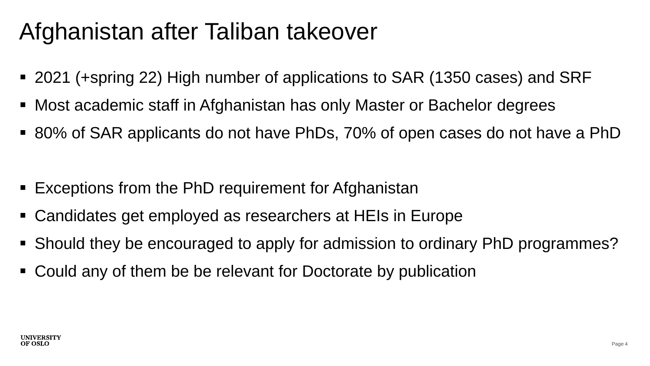#### Afghanistan after Taliban takeover

- 2021 (+spring 22) High number of applications to SAR (1350 cases) and SRF
- Most academic staff in Afghanistan has only Master or Bachelor degrees
- 80% of SAR applicants do not have PhDs, 70% of open cases do not have a PhD
- Exceptions from the PhD requirement for Afghanistan
- Candidates get employed as researchers at HEIs in Europe
- Should they be encouraged to apply for admission to ordinary PhD programmes?
- Could any of them be be relevant for Doctorate by publication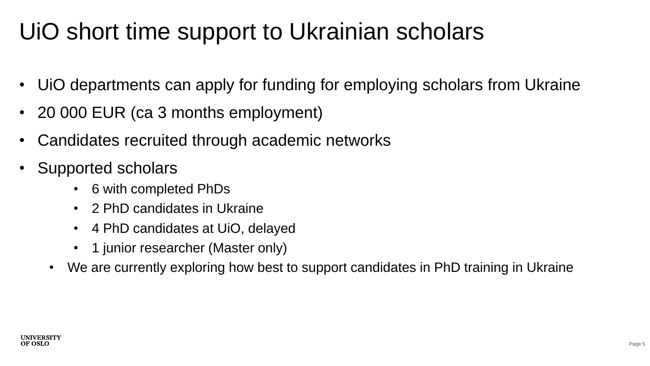#### UiO short time support to Ukrainian scholars

- UiO departments can apply for funding for employing scholars from Ukraine
- 20 000 EUR (ca 3 months employment)
- Candidates recruited through academic networks
- Supported scholars
	- 6 with completed PhDs
	- 2 PhD candidates in Ukraine
	- 4 PhD candidates at UiO, delayed
	- 1 junior researcher (Master only)
	- We are currently exploring how best to support candidates in PhD training in Ukraine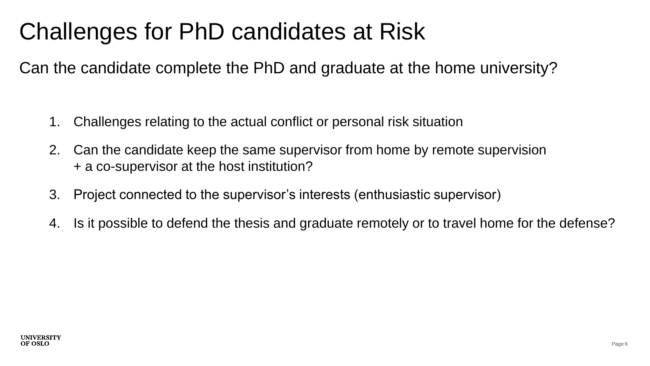#### Challenges for PhD candidates at Risk

Can the candidate complete the PhD and graduate at the home university?

- 1. Challenges relating to the actual conflict or personal risk situation
- 2. Can the candidate keep the same supervisor from home by remote supervision + a co-supervisor at the host institution?
- 3. Project connected to the supervisor's interests (enthusiastic supervisor)
- 4. Is it possible to defend the thesis and graduate remotely or to travel home for the defense?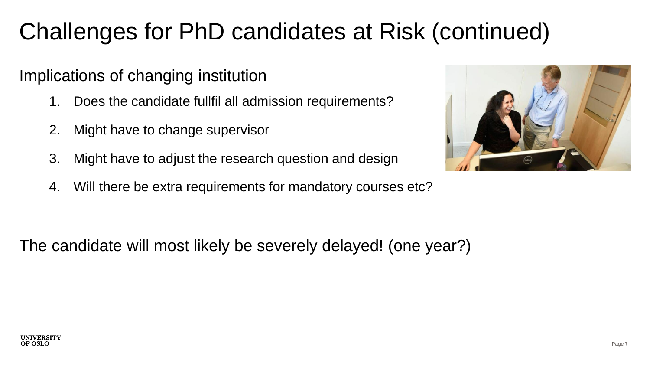### Challenges for PhD candidates at Risk (continued)

#### Implications of changing institution

- 1. Does the candidate fullfil all admission requirements?
- 2. Might have to change supervisor
- 3. Might have to adjust the research question and design
- 4. Will there be extra requirements for mandatory courses etc?



The candidate will most likely be severely delayed! (one year?)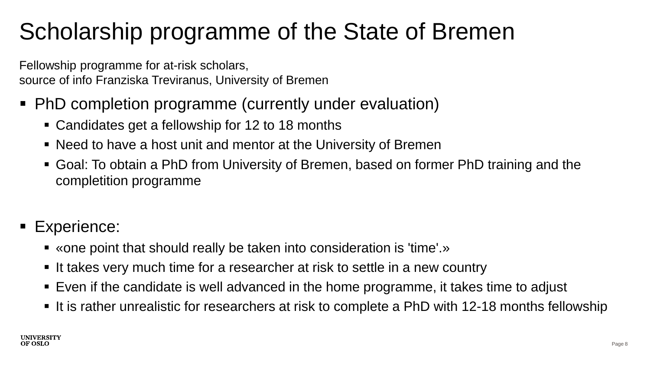#### Scholarship programme of the State of Bremen

Fellowship programme for at-risk scholars, source of info Franziska Treviranus, University of Bremen

- PhD completion programme (currently under evaluation)
	- Candidates get a fellowship for 12 to 18 months
	- Need to have a host unit and mentor at the University of Bremen
	- Goal: To obtain a PhD from University of Bremen, based on former PhD training and the completition programme
- Experience:
	- «one point that should really be taken into consideration is 'time'.»
	- It takes very much time for a researcher at risk to settle in a new country
	- Even if the candidate is well advanced in the home programme, it takes time to adjust
	- It is rather unrealistic for researchers at risk to complete a PhD with 12-18 months fellowship